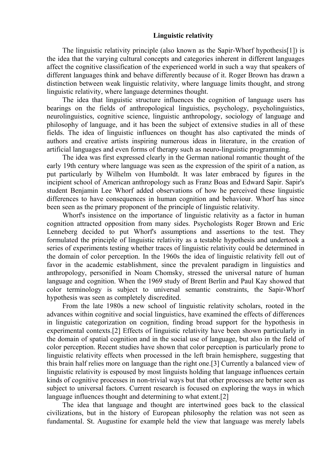## Linguistic relativity

The linguistic relativity principle (also known as the Sapir-Whorf hypothesis[1]) is the idea that the varying cultural concepts and categories inherent in different languages affect the cognitive classification of the experienced world in such a way that speakers of different languages think and behave differently because of it. Roger Brown has drawn a distinction between weak linguistic relativity, where language limits thought, and strong linguistic relativity, where language determines thought.

The idea that linguistic structure influences the cognition of language users has bearings on the fields of anthropological linguistics, psychology, psycholinguistics, neurolinguistics, cognitive science, linguistic anthropology, sociology of language and philosophy of language, and it has been the subject of extensive studies in all of these fields. The idea of linguistic influences on thought has also captivated the minds of authors and creative artists inspiring numerous ideas in literature, in the creation of artificial languages and even forms of therapy such as neuro-linguistic programming.

The idea was first expressed clearly in the German national romantic thought of the early 19th century where language was seen as the expression of the spirit of a nation, as put particularly by Wilhelm von Humboldt. It was later embraced by figures in the incipient school of American anthropology such as Franz Boas and Edward Sapir. Sapir's student Benjamin Lee Whorf added observations of how he perceived these linguistic differences to have consequences in human cognition and behaviour. Whorf has since been seen as the primary proponent of the principle of linguistic relativity.

Whorf's insistence on the importance of linguistic relativity as a factor in human cognition attracted opposition from many sides. Psychologists Roger Brown and Eric Lenneberg decided to put Whorf's assumptions and assertions to the test. They formulated the principle of linguistic relativity as a testable hypothesis and undertook a series of experiments testing whether traces of linguistic relativity could be determined in the domain of color perception. In the 1960s the idea of linguistic relativity fell out of favor in the academic establishment, since the prevalent paradigm in linguistics and anthropology, personified in Noam Chomsky, stressed the universal nature of human language and cognition. When the 1969 study of Brent Berlin and Paul Kay showed that color terminology is subject to universal semantic constraints, the Sapir-Whorf hypothesis was seen as completely discredited.

From the late 1980s a new school of linguistic relativity scholars, rooted in the advances within cognitive and social linguistics, have examined the effects of differences in linguistic categorization on cognition, finding broad support for the hypothesis in experimental contexts.[2] Effects of linguistic relativity have been shown particularly in the domain of spatial cognition and in the social use of language, but also in the field of color perception. Recent studies have shown that color perception is particularly prone to linguistic relativity effects when processed in the left brain hemisphere, suggesting that this brain half relies more on language than the right one.[3] Currently a balanced view of linguistic relativity is espoused by most linguists holding that language influences certain kinds of cognitive processes in non-trivial ways but that other processes are better seen as subject to universal factors. Current research is focused on exploring the ways in which language influences thought and determining to what extent.<sup>[2]</sup>

The idea that language and thought are intertwined goes back to the classical civilizations, but in the history of European philosophy the relation was not seen as fundamental. St. Augustine for example held the view that language was merely labels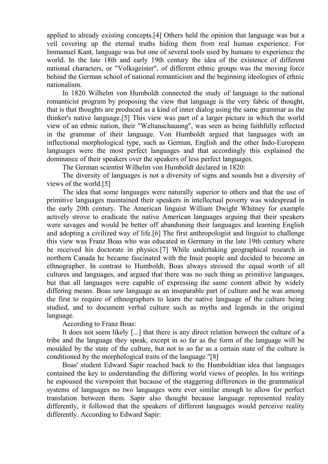applied to already existing concepts.[4] Others held the opinion that language was but a veil covering up the eternal truths hiding them from real human experience. For Immanuel Kant, language was but one of several tools used by humans to experience the world. In the late 18th and early 19th century the idea of the existence of different national characters, or "Volksgeister", of different ethnic groups was the moving force behind the German school of national romanticism and the beginning ideologies of ethnic nationalism.

In 1820 Wilhelm von Humboldt connected the study of language to the national romanticist program by proposing the view that language is the very fabric of thought, that is that thoughts are produced as a kind of inner dialog using the same grammar as the thinker's native language.[5] This view was part of a larger picture in which the world view of an ethnic nation, their "Weltanschauung", was seen as being faithfully reflected in the grammar of their language. Von Humboldt argued that languages with an inflectional morphological type, such as German, English and the other Indo-European languages were the most perfect languages and that accordingly this explained the dominance of their speakers over the speakers of less perfect languages.

The German scientist Wilhelm von Humboldt declared in 1820:

The diversity of languages is not a diversity of signs and sounds but a diversity of views of the world.[5]

The idea that some languages were naturally superior to others and that the use of primitive languages maintained their speakers in intellectual poverty was widespread in the early 20th century. The American linguist William Dwight Whitney for example actively strove to eradicate the native American languages arguing that their speakers were savages and would be better off abandoning their languages and learning English and adopting a civilized way of life.[6] The first anthropologist and linguist to challenge this view was Franz Boas who was educated in Germany in the late 19th century where he received his doctorate in physics.[7] While undertaking geographical research in northern Canada he became fascinated with the Inuit people and decided to become an ethnographer. In contrast to Humboldt, Boas always stressed the equal worth of all cultures and languages, and argued that there was no such thing as primitive languages, but that all languages were capable of expressing the same content albeit by widely differing means. Boas saw language as an inseparable part of culture and he was among the first to require of ethnographers to learn the native language of the culture being studied, and to document verbal culture such as myths and legends in the original language.

According to Franz Boas:

It does not seem likely [...] that there is any direct relation between the culture of a tribe and the language they speak, except in so far as the form of the language will be moulded by the state of the culture, but not in so far as a certain state of the culture is conditioned by the morphological traits of the language."[8]

Boas' student Edward Sapir reached back to the Humboldtian idea that languages contained the key to understanding the differing world views of peoples. In his writings he espoused the viewpoint that because of the staggering differences in the grammatical systems of languages no two languages were ever similar enough to allow for perfect translation between them. Sapir also thought because language represented reality differently, it followed that the speakers of different languages would perceive reality differently. According to Edward Sapir: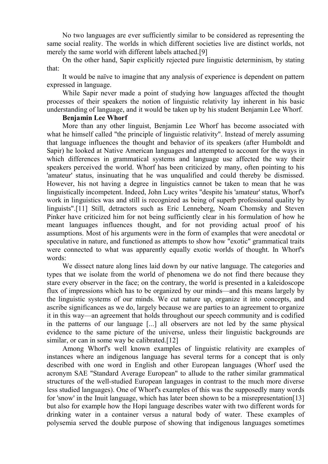No two languages are ever sufficiently similar to be considered as representing the same social reality. The worlds in which different societies live are distinct worlds, not merely the same world with different labels attached.[9]

On the other hand, Sapir explicitly rejected pure linguistic determinism, by stating that:

It would be naïve to imagine that any analysis of experience is dependent on pattern expressed in language.

While Sapir never made a point of studying how languages affected the thought processes of their speakers the notion of linguistic relativity lay inherent in his basic understanding of language, and it would be taken up by his student Benjamin Lee Whorf.

## Benjamin Lee Whorf

More than any other linguist, Benjamin Lee Whorf has become associated with what he himself called "the principle of linguistic relativity". Instead of merely assuming that language influences the thought and behavior of its speakers (after Humboldt and Sapir) he looked at Native American languages and attempted to account for the ways in which differences in grammatical systems and language use affected the way their speakers perceived the world. Whorf has been criticized by many, often pointing to his 'amateur' status, insinuating that he was unqualified and could thereby be dismissed. However, his not having a degree in linguistics cannot be taken to mean that he was linguistically incompetent. Indeed, John Lucy writes "despite his 'amateur' status, Whorf's work in linguistics was and still is recognized as being of superb professional quality by linguists".[11] Still, detractors such as Eric Lenneberg, Noam Chomsky and Steven Pinker have criticized him for not being sufficiently clear in his formulation of how he meant languages influences thought, and for not providing actual proof of his assumptions. Most of his arguments were in the form of examples that were anecdotal or speculative in nature, and functioned as attempts to show how "exotic" grammatical traits were connected to what was apparently equally exotic worlds of thought. In Whorf's words:

We dissect nature along lines laid down by our native language. The categories and types that we isolate from the world of phenomena we do not find there because they stare every observer in the face; on the contrary, the world is presented in a kaleidoscope flux of impressions which has to be organized by our minds—and this means largely by the linguistic systems of our minds. We cut nature up, organize it into concepts, and ascribe significances as we do, largely because we are parties to an agreement to organize it in this way—an agreement that holds throughout our speech community and is codified in the patterns of our language [...] all observers are not led by the same physical evidence to the same picture of the universe, unless their linguistic backgrounds are similar, or can in some way be calibrated.[12]

Among Whorf's well known examples of linguistic relativity are examples of instances where an indigenous language has several terms for a concept that is only described with one word in English and other European languages (Whorf used the acronym SAE "Standard Average European" to allude to the rather similar grammatical structures of the well-studied European languages in contrast to the much more diverse less studied languages). One of Whorf's examples of this was the supposedly many words for 'snow' in the Inuit language, which has later been shown to be a misrepresentation[13] but also for example how the Hopi language describes water with two different words for drinking water in a container versus a natural body of water. These examples of polysemia served the double purpose of showing that indigenous languages sometimes